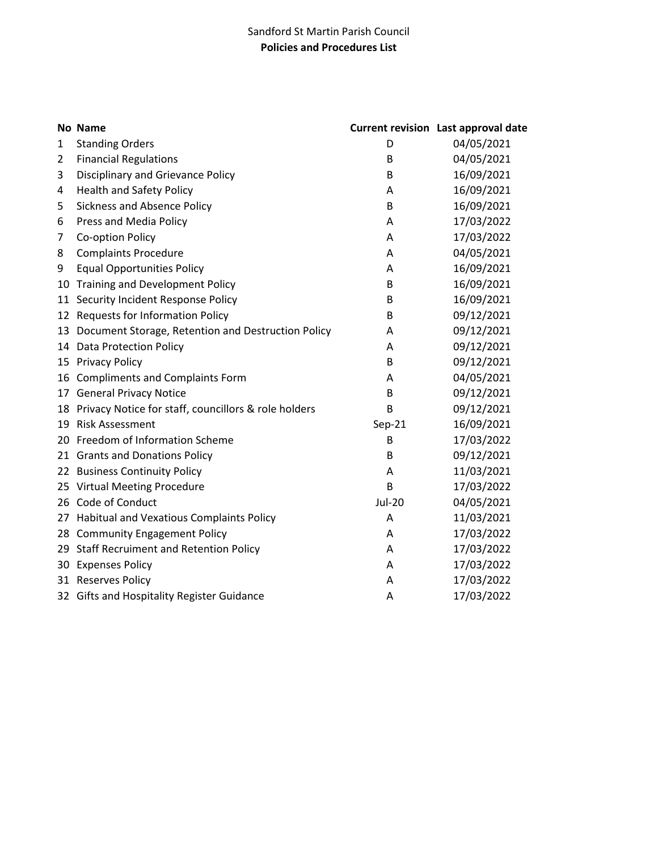## Sandford St Martin Parish Council **Policies and Procedures List**

|              | No Name                                              |               | <b>Current revision Last approval date</b> |
|--------------|------------------------------------------------------|---------------|--------------------------------------------|
| $\mathbf{1}$ | <b>Standing Orders</b>                               | D             | 04/05/2021                                 |
| 2            | <b>Financial Regulations</b>                         | B             | 04/05/2021                                 |
| 3            | <b>Disciplinary and Grievance Policy</b>             | B             | 16/09/2021                                 |
| 4            | <b>Health and Safety Policy</b>                      | A             | 16/09/2021                                 |
| 5            | <b>Sickness and Absence Policy</b>                   | В             | 16/09/2021                                 |
| 6            | Press and Media Policy                               | A             | 17/03/2022                                 |
| 7            | Co-option Policy                                     | A             | 17/03/2022                                 |
| 8            | <b>Complaints Procedure</b>                          | A             | 04/05/2021                                 |
| 9            | <b>Equal Opportunities Policy</b>                    | A             | 16/09/2021                                 |
| 10           | <b>Training and Development Policy</b>               | B             | 16/09/2021                                 |
| 11           | Security Incident Response Policy                    | В             | 16/09/2021                                 |
| 12           | <b>Requests for Information Policy</b>               | B             | 09/12/2021                                 |
| 13           | Document Storage, Retention and Destruction Policy   | A             | 09/12/2021                                 |
|              | 14 Data Protection Policy                            | A             | 09/12/2021                                 |
|              | 15 Privacy Policy                                    | B             | 09/12/2021                                 |
| 16           | <b>Compliments and Complaints Form</b>               | A             | 04/05/2021                                 |
|              | 17 General Privacy Notice                            | B             | 09/12/2021                                 |
| 18           | Privacy Notice for staff, councillors & role holders | B             | 09/12/2021                                 |
| 19           | <b>Risk Assessment</b>                               | Sep-21        | 16/09/2021                                 |
|              | 20 Freedom of Information Scheme                     | B             | 17/03/2022                                 |
|              | 21 Grants and Donations Policy                       | B             | 09/12/2021                                 |
|              | 22 Business Continuity Policy                        | A             | 11/03/2021                                 |
|              | 25 Virtual Meeting Procedure                         | B             | 17/03/2022                                 |
| 26           | Code of Conduct                                      | <b>Jul-20</b> | 04/05/2021                                 |
|              | 27 Habitual and Vexatious Complaints Policy          | A             | 11/03/2021                                 |
|              | 28 Community Engagement Policy                       | A             | 17/03/2022                                 |
|              | 29 Staff Recruiment and Retention Policy             | A             | 17/03/2022                                 |
| 30           | <b>Expenses Policy</b>                               | Α             | 17/03/2022                                 |
|              | 31 Reserves Policy                                   | A             | 17/03/2022                                 |
|              | 32 Gifts and Hospitality Register Guidance           | A             | 17/03/2022                                 |